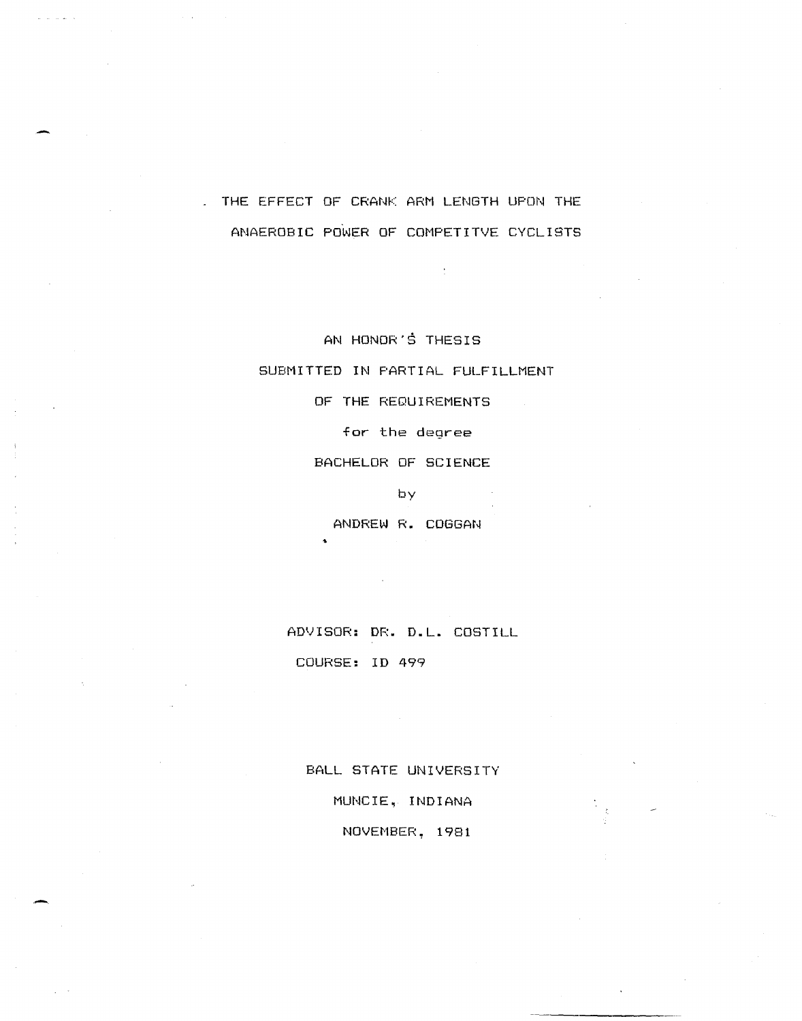THE EFFECT OF CRANK ARM LENGTH UPON THE ANAEROBIC POWER OF COMPETITVE CYCLISTS

AN HONOR'S THESIS

SUBMITTED IN PARTIAL FULFILLMENT

OF THE REQUIREMENTS

for the degree

BACHELOR OF SCIENCE

by

ANDREW R. COGGAN

ADVISOR: DR. D.L. COSTILL COURSE: 10 499

BALL STATE UNIVERSITY MUNCIE, INDIANA NOVEMBER, 1981

-.

 $\Delta\omega$  , and  $\Delta\omega$  , and  $\Delta\omega$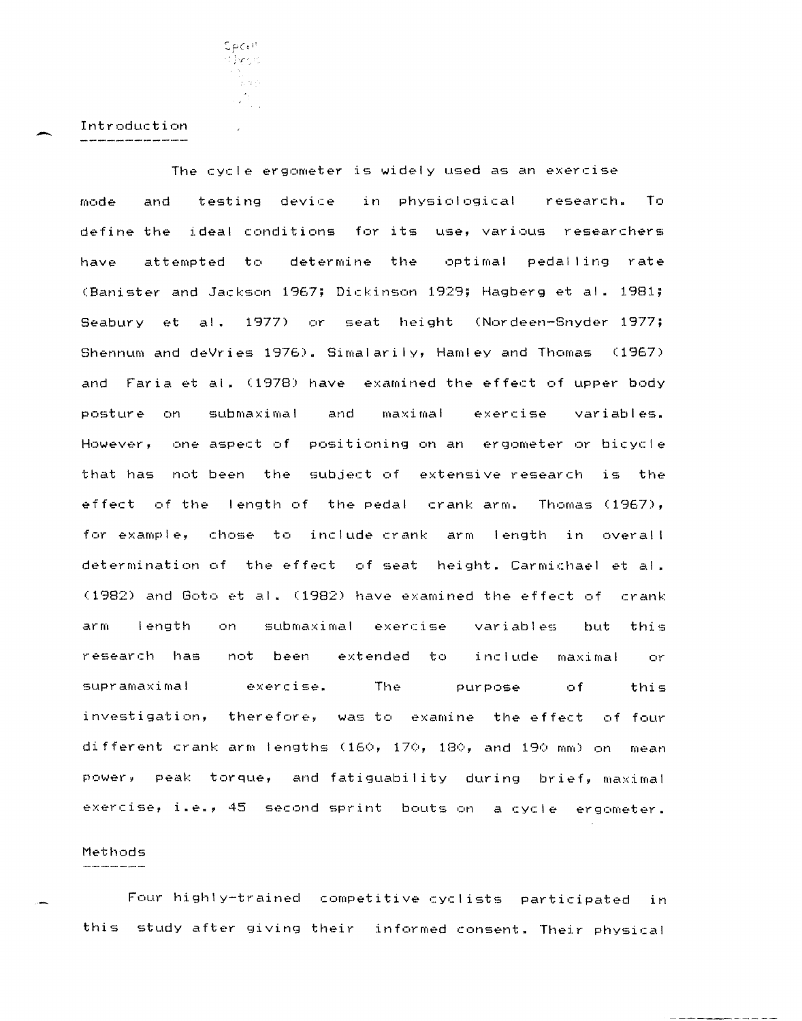$SpCo<sup>11</sup>$ tilvesis iya de 

Intr-oduction

-

The cycle ergometer is widely used as an exercise mode and testing device in physiological research. To define the ideal conditions for its use, various researchers have attempted to determine the optimal pedalling rate (Banister and Jackson 1967; Dickinson 1929; Hagberg et al. 1981; Seabury et al. 1977) or seat height (Nordeen-Snyder 1977; Shennum and deVries  $1976$ ). Simalarily, Hamley and Thomas (1967) and Faria et al. (1978) have examined the effect of upper-body posture on submaximal and maximal exercise variables. However, one aspect of positioning on an ergometer or bicycle that has not been the subject of extensive research is the effect of the length of the pedal crank arm. Thomas  $(1967)$ , for example, chose to include crank arm length in overall determination of the effect of seat height. Carmichael et al.  $(1982)$  and Goto et al.  $(1982)$  have examined the effect of crank arm length on submaximal exercise variables but this research has not been extended to include maximal or supramaximal exercise. The purpose of this investigation, therefore, was to examine the effect of four different crank arm lengths (160, 170, 180, and 190 mm) on mean power, peak torque, and fatiguability during brief, maximal exercise, i.e., 45 second sprint bouts on a cycle ergometer.

## Methods

Four highly-trained competitive cyclists participated in this study after giving their informed consent. Their physical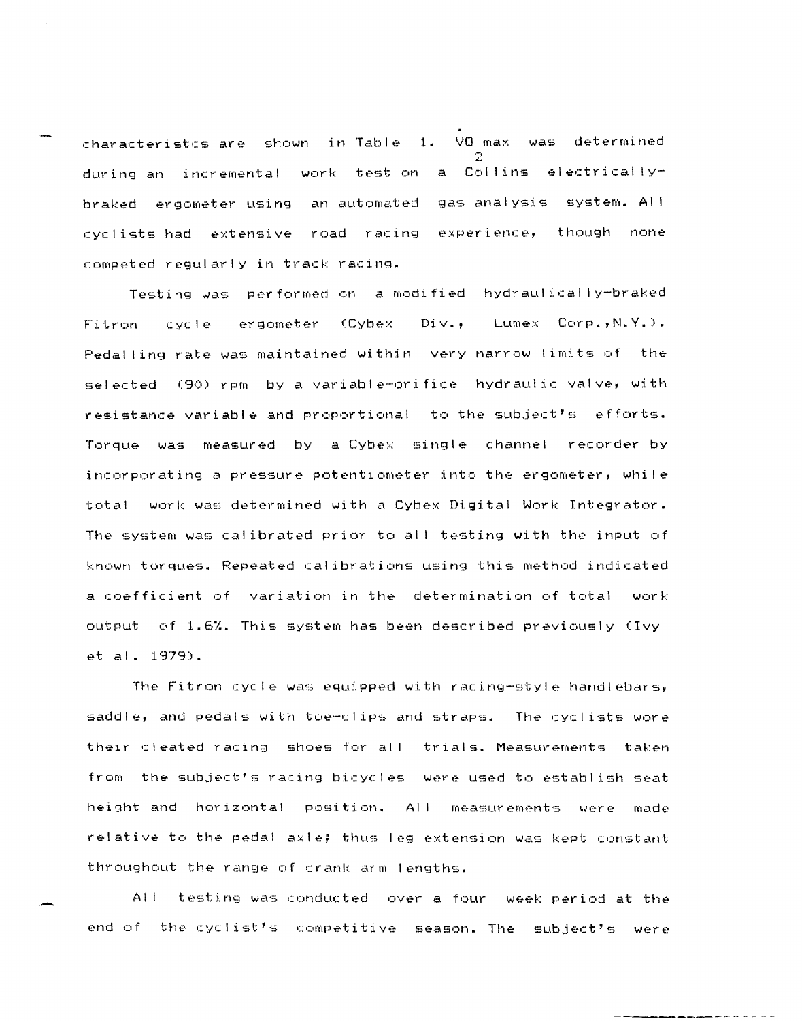characteristcs are shown in Table 1. VO max was determined ..::. during an incremental work test on a Collins electricallybraked ergometer using an automated gas analysis system. AI I cyclists had extensive road racing experience, competed regularly in track racing.

Testing was performed on a modified hydraulically-braked Fitron cycle ergometer (Cybex Div., Lumex Corp., N.Y.). Pedal ling rate was maintained within very narrow limits of the selected (90) rpm by a variable-orifice hydraulic valve, with resistance variable and proportional to the subject's efforts. Torque was measured by a Cybex single channel recorder by incorporating a pressure potentiometer into the ergometer, while total work was determined with a Cybex Digital Work Integrator. The system was calibrated prior to all testing with the input of known torques. Repeated calibrations using this method indicated a coefficient of variation in the determination of total work output of 1.6%. This system has been described previously (Ivy et al. 1979).

The Fitron cycle was equipped with racing-style handlebars, saddle, and pedals with toe-clips and straps. The cyclists wore their cleated racing shoes for all trials. Measurements taken from the subject's racing bicycles were used to establish seat height and horizontal position. AI I measurements were made relative to the pedal axle; thus leg extension was kept constant throughout the range of crank arm lengths.

All testing was conducted over a four week period at the end of the cyclist's competitive season. The subject's were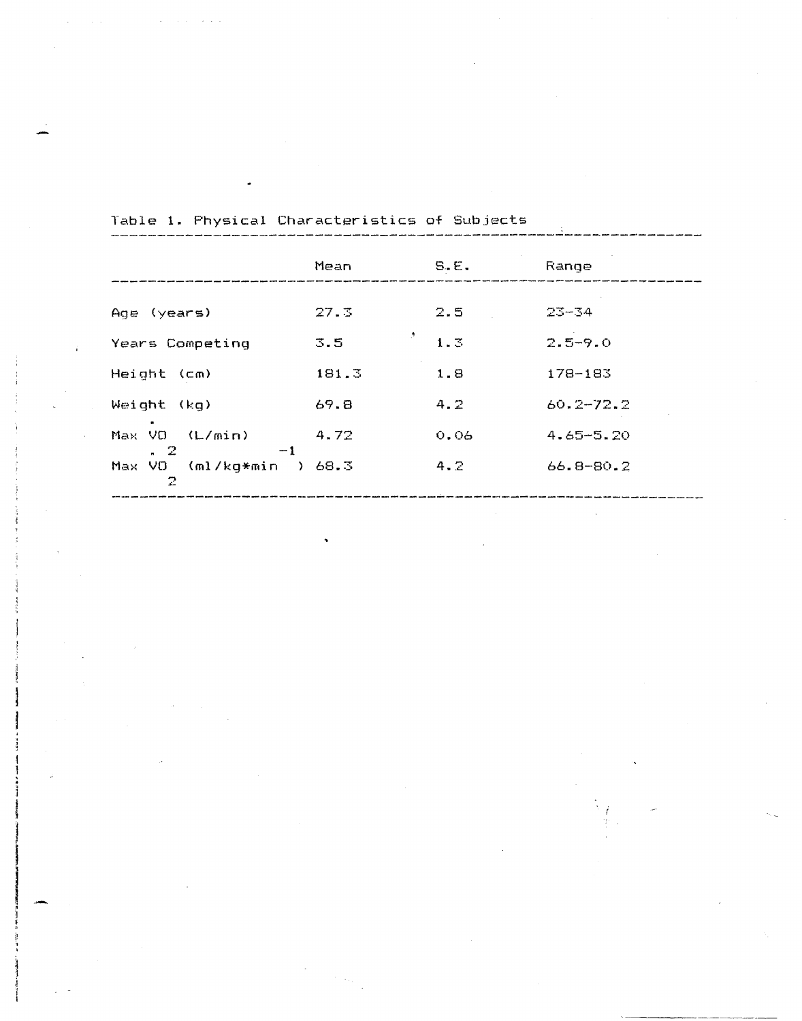|                                       | Mean      | S.E. | Range         |
|---------------------------------------|-----------|------|---------------|
|                                       |           |      |               |
| (years)<br>Age                        | 27.3      | 2.5  | $23 - 34$     |
| Years Competing                       | ð,<br>3.5 | 1.3  | $2.5 - 9.0$   |
| Height<br>(Cm)                        | 181.3     | 1.8  | $178 - 183$   |
| Weight<br>-(ka)                       | 69.8      | 4.2  | $60.2 - 72.2$ |
| VO.<br>(L/min)<br>Max<br>$-1$<br>. 2  | 4.72      | 0.06 | $4.65 - 5.20$ |
| $(m!/kg*min)$<br>VO.<br>Max<br>Y<br>2 | 68.3      | 4.2  | $66.8 - 80.2$ |
|                                       |           |      |               |

Table **1.** Physical Characteristics of Subjects

 $\hat{f}$  , we can also a set  $\hat{f}$ 

 $\sim$   $\sim$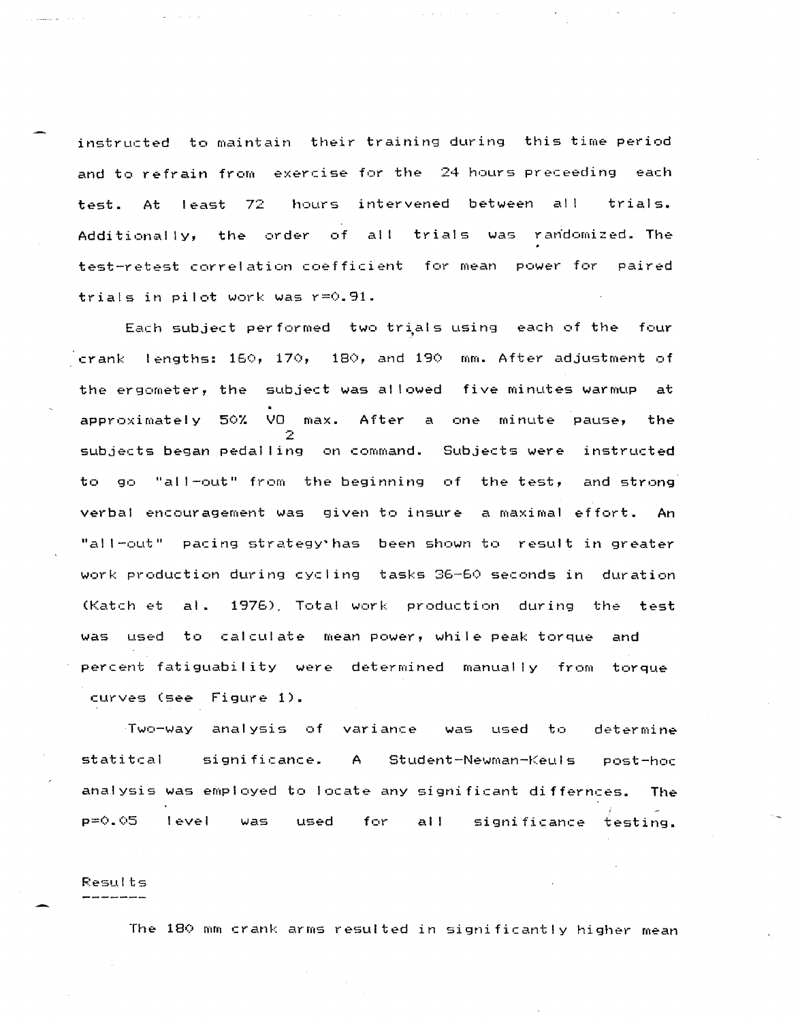instructed to maintain their training during this time period and to refrain from exercise for the 24 hours preceeding each test. At least 72 hours intervened between all trials. Additionally, the order of all trials was randomized. The test-retest correlation coefficient for mean power for paired trials in pilot work was r=0.91.

Each subject performed two trials using each of the four crank lengths: 160, 170, 180, and 190 mm. After adjustment of the ergometer, the subject was al lowed five minutes warmup at approximately 50% VO max. After a one minute pause, the 2 subjects began pedal ling on command. Subjects were instructed to go "all-out" from the beginning of the test, and strong verbal encouragement was given to insure a maximal effort. An "all-out" pacing strategy' has been shown to result in greater work production during cycling tasks 36-60 seconds in duration (Katch et al. 1976), Total work production during the test was used to calculate mean power, while peak torque and percent fatiguability were determined manually from torque curves (see Figure 1).

Two-way analysis of variance was used to determine statitcal significance. A Student-Newman-Keuls analysis was employed to locate any significant differnces. The **P=(:I. (:t5** level was used for all significance testing.

## Pesults

The 180 mm crank arms resulted in significantly higher mean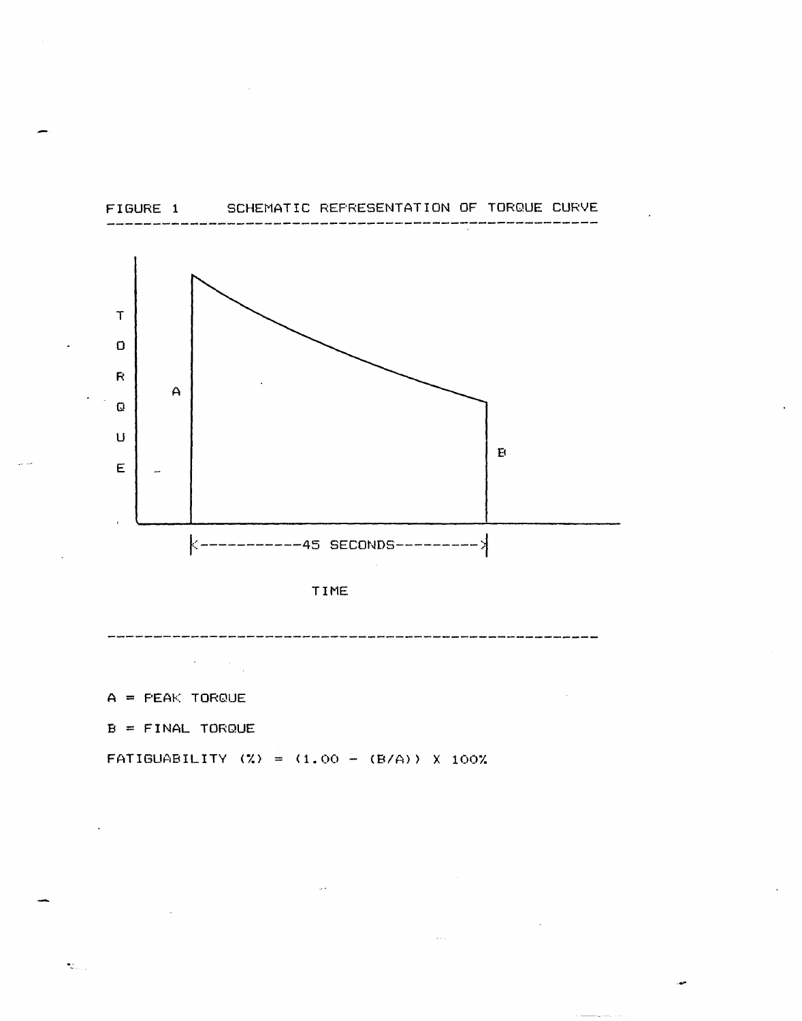

 $\sim$ 



 $\bar{z}$  .

 $A = PEAK TOROUE$ 

 $\sim 100$  km s  $^{-1}$ 

 $\sim$   $\sim$ 

 $B = FINAL TOROUE$ 

 $\mathbf{t}_{\text{max}}$ 

FATIGUABILITY (%) =  $(1.00 - (B/A))$  % 100%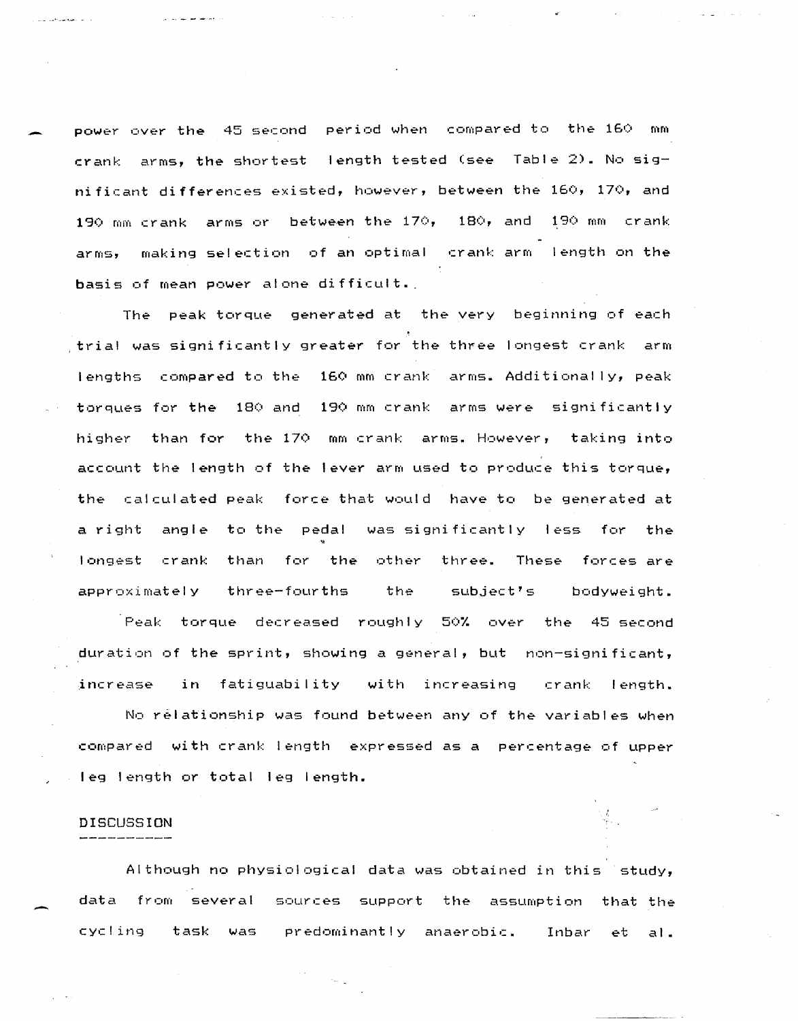power over the 45 second period when compared to the 160 mm crank arms, the shortest length tested (see Table 2). No significant differences existed, however, between the 160, 170, and 190 mm crank arms or between the 170, 180, and 190 mm crank arms, making selection of an optimal crank arm length on the basis of mean power alone difficult.

وأحدمها فقاطعت ووازور

The peak torque generated at the very beginning of each trial was significantly greater for the three longest crank arm lengths compared to the 160 mm crank arms. Additionally, peak torques for the 180 and 190 mm crank arms were significantly higher than for the 170 mm crank arms. However, taking into account the length of the lever arm used to produce this torque, the calculated peak force that would have to be generated at a right angle to the pedal was significantly less for the longest crank than for the other three. These forces are approximately three-fourths the subject's bodyweight.

Peak torque decreased roughly 50% over the 45-second duration of the sprint, showing a general, but non-significant, increase in fatiguability with increasing crank length. No relationship was found between any of the variables when compared with crank length expressed as a percentage of upper leg length or total leg length.

## DISCUSSION

Although no physiological data was obtained in this study, data from several sources support the assumption that the cycling task was predominantly anaerobic. Inbar et al.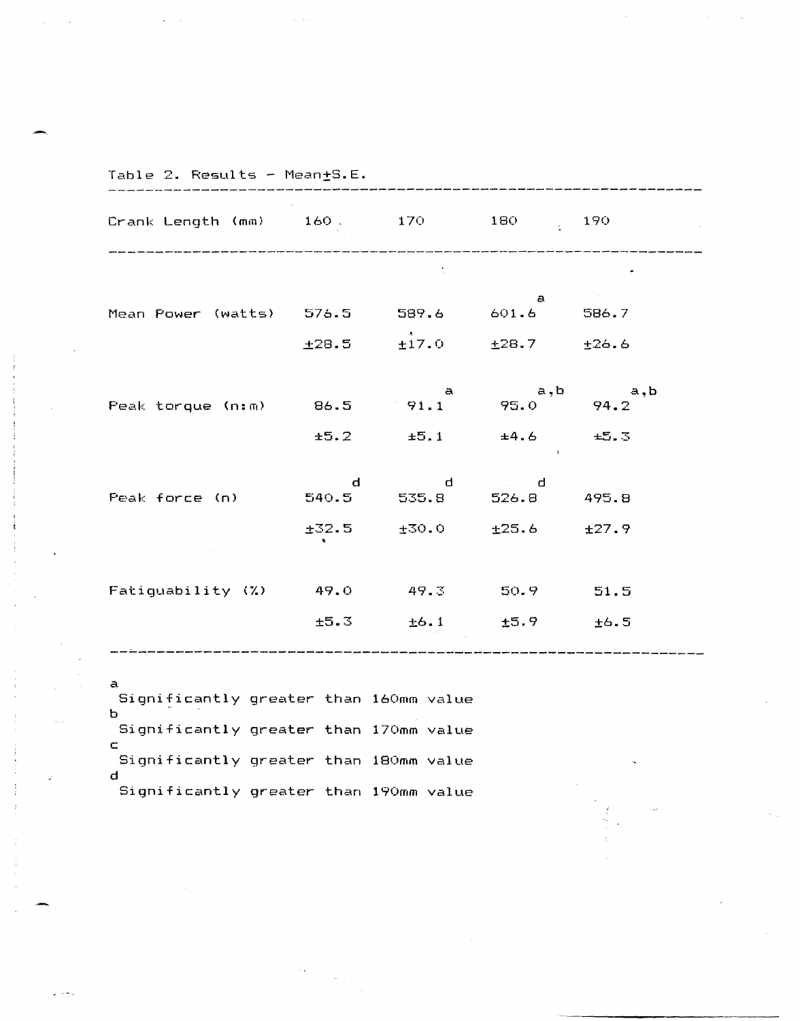| Crank Length (mm) 160. 170 180 190    |      |                                        |                                            |           |
|---------------------------------------|------|----------------------------------------|--------------------------------------------|-----------|
|                                       |      |                                        |                                            |           |
| Mean Power (watts) 576.5 589.6 601.6  |      |                                        | $\mathbf{a}$                               | 586.7     |
|                                       |      | $\pm 28.5$ $\pm 17.0$ $\pm 28.7$       |                                            | ±26.6     |
| Peak torque (n:m) 86.5 91.1 95.0 94.2 |      | $\mathbf{a}$                           |                                            | a, b a, b |
|                                       | ±5.2 |                                        | $\pm 5.1$ $\pm 4.6$ $\pm 5.3$<br>$\sim$ 10 |           |
| Peak force (n)                        | d    | $\mathbf d$<br>540.5 535.8 526.8 495.8 | $\mathbf{d}$                               |           |
|                                       |      | $±32.5$ $±30.0$                        | ±25.6                                      | ±27.9     |
| Fatiguability (%) 49.0 49.3 50.9 51.5 |      |                                        |                                            |           |
|                                       | ±5.3 |                                        | $\pm 6.1$ $\pm 5.9$ $\pm 6.5$              |           |

Significantly greater than 160mm value b Significantly greater than 170mm value c Significantly greater than 180mm value d Significantly greater than 190mm value

 $Man+S$ . $F$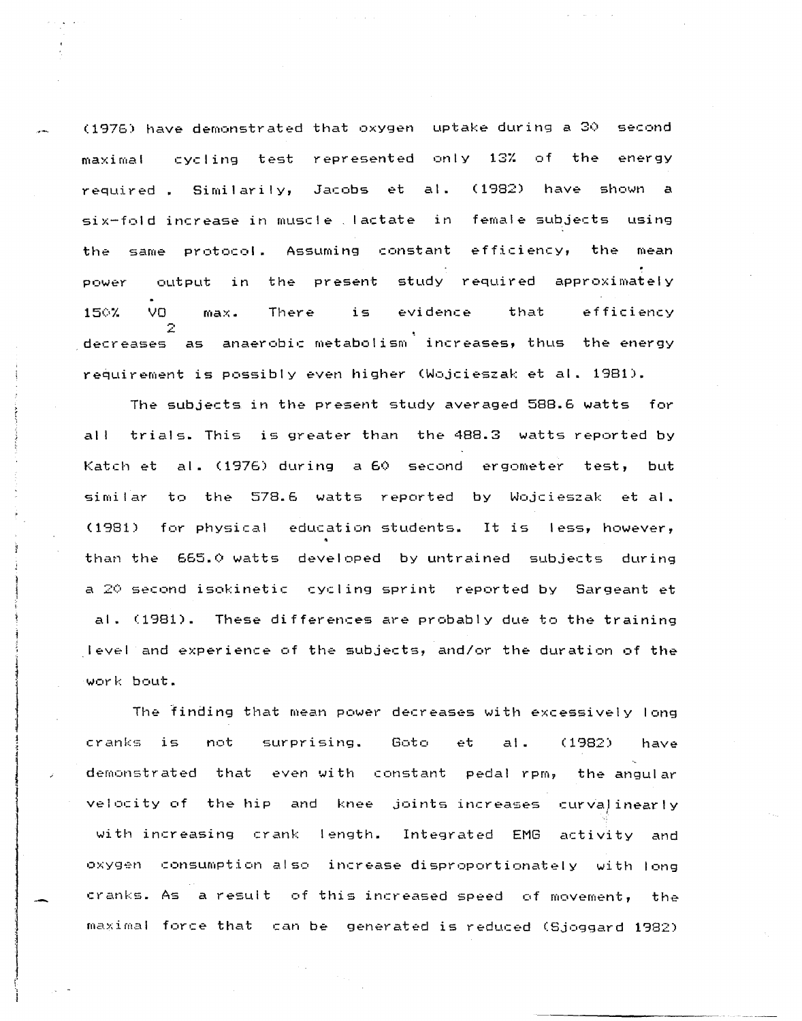(1976) have demonstrated that oxygen uptake during a 30 second maximal cycling test represented only 13% of the energy required. Similarily, Jacobs et al. (1982) have shown a six-fold increase in muscle lactate in female subjects using the same protocol. Assuming constant efficiency, the mean power output in the present study required approximately 150% VO max. There is evidence that efficiency decreases as anaerobic metabolism increases, thus the energy requirement is possibly even higher (Wojcieszak et al. 1981).

The subjects in the present study averaged 588.6 watts for all trials. This is greater than the 488.3 watts reported by Katch et al. (1976) during a 60 second ergometer test, but similar to the 578.6 watts reported by Wojcieszak et al. (1981) for physical education students. It is less, however, than the 665.0 watts developed by untrained subjects during a 20 second isokinetic cycling sprint reported by Sargeant et al. (1981). These differences are probably due to the training level and experience of the subjects, and/or the duration of the work bout.

The finding that mean power decreases with excessively long cranks is not surprising. Goto et al. (1982) have demonstrated that even with constant pedal rpm, the angular velocity of the hip and knee joints increases curvalinearly with increasing crank length. Integrated EMG activity and oxygen consumption also increase disproportionately with long cranks. As a result of this increased speed of movement, the maximal force that can be generated is reduced (Sjoggard 1982)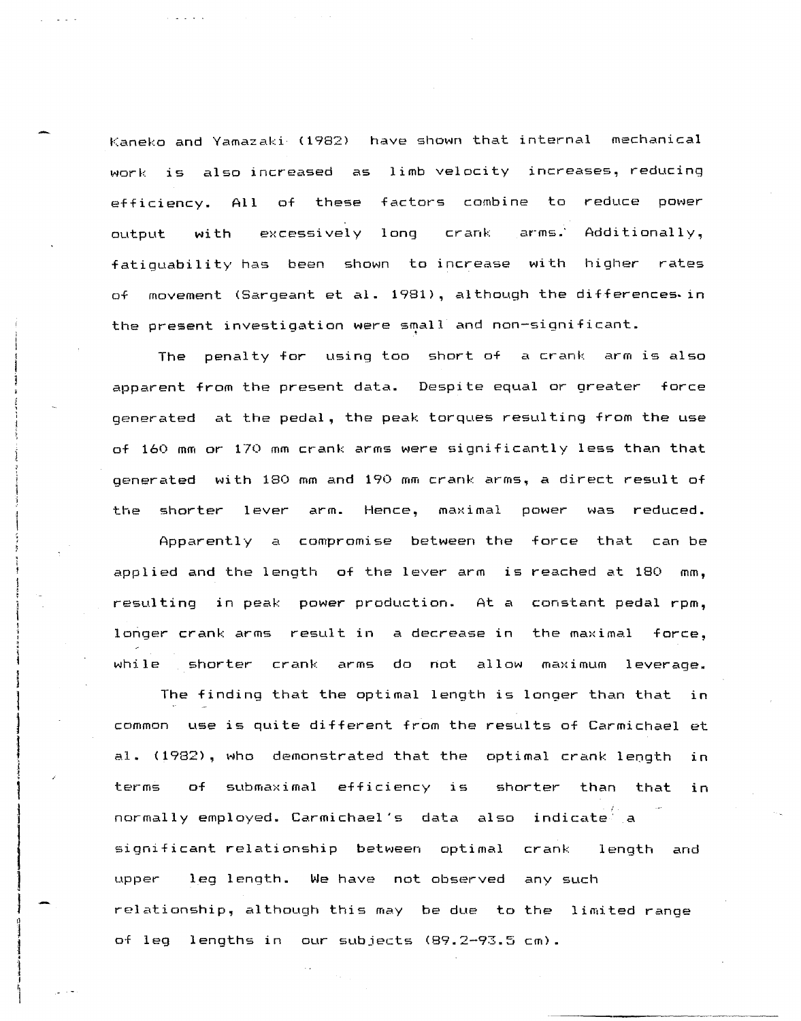Kaneko and Yamazaki (1982) have shown that internal mechanical work is also increased as limb velocity increases, reducing efficiency. All of these factors combine to reduce power output with excessively long crank arms. Additionally, fatiguability has been shown to increase with higher rates of movement (Sargeant at al. 1981), although the differences. in the present investigation were small and non-significant.

The penalty for using too short of a crank arm is also apparent from the present data. Despite equal or greater force generated at the pedal, the peak torques resulting from the use of 160 mm or 170 mm crank arms were significantly less than that generated with 180 mm and 190 mm crank arms, a direct result of the shorter lever arm. Hence, maximal power was reduced.

Apparently a compromise between the force that can be applied and the length of the lever arm is reached at 180 mm, resulting in peak power production. At a constant pedal rpm, longer crank arms result in a decrease in the maximal force, while shorter crank arms do not allow maximum leverage.

The finding that the optimal length is longer than that in common use is quite different from the results of Carmichael et al. (1982), who demonstrated that the optimal crank length in terms of submaximal efficiency is shorter than that in normally employed. Carmichael's data also indicate a significant relationship between optimal crank length and upper leg length. We have not observed any such relationship, although this may be due to the limited range of leg lengths in our subjects (89.2-93.5 cm).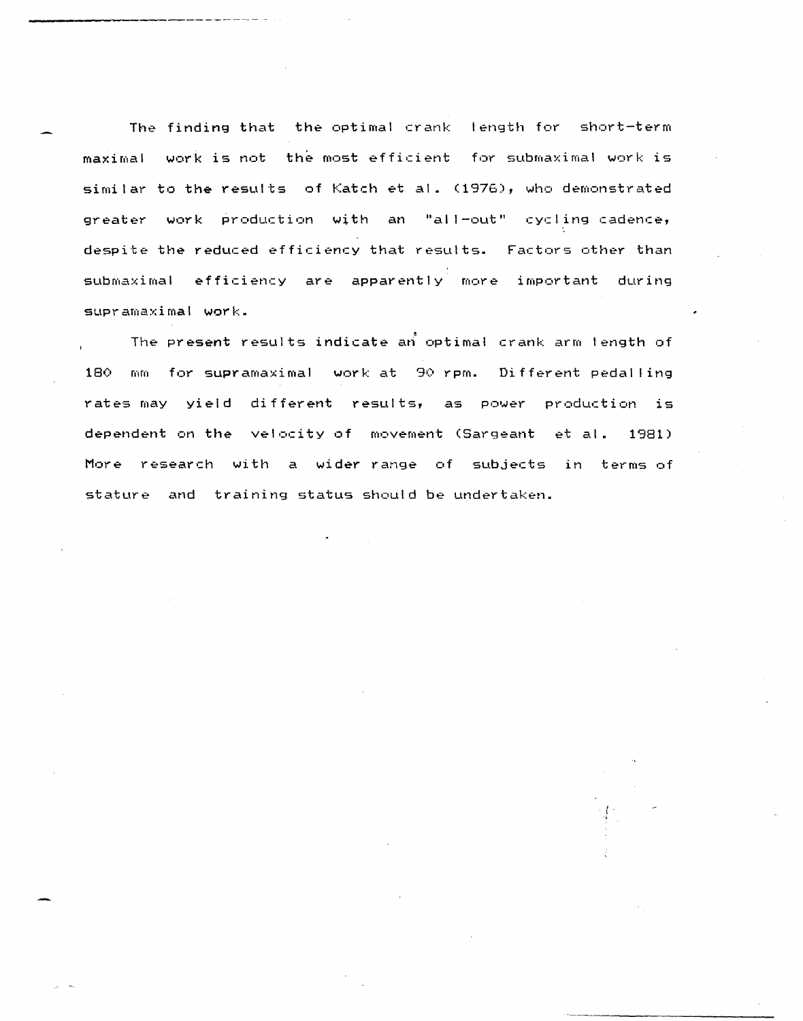The finding that the optimal crank length for short-term maximal work is not the most efficient for submaximal work is similar to the results of Katch et al. (1976), who demonstrated greater work production with an "all-out" cycling cadence, despite the reduced efficiency that results. Factors other than submaximal efficiency are apparently more important during supramaximal work.

• The present results indicate an optimal crank arm length of 180 mm for supramaximal work at 90 rpm. Different pedalling rates may yield different results, as power production is dependent on the velocity of movement (Sargeant et al. 1981) More research with a wider range of subjects in terms of stature and training status should be undertaken.

> I .,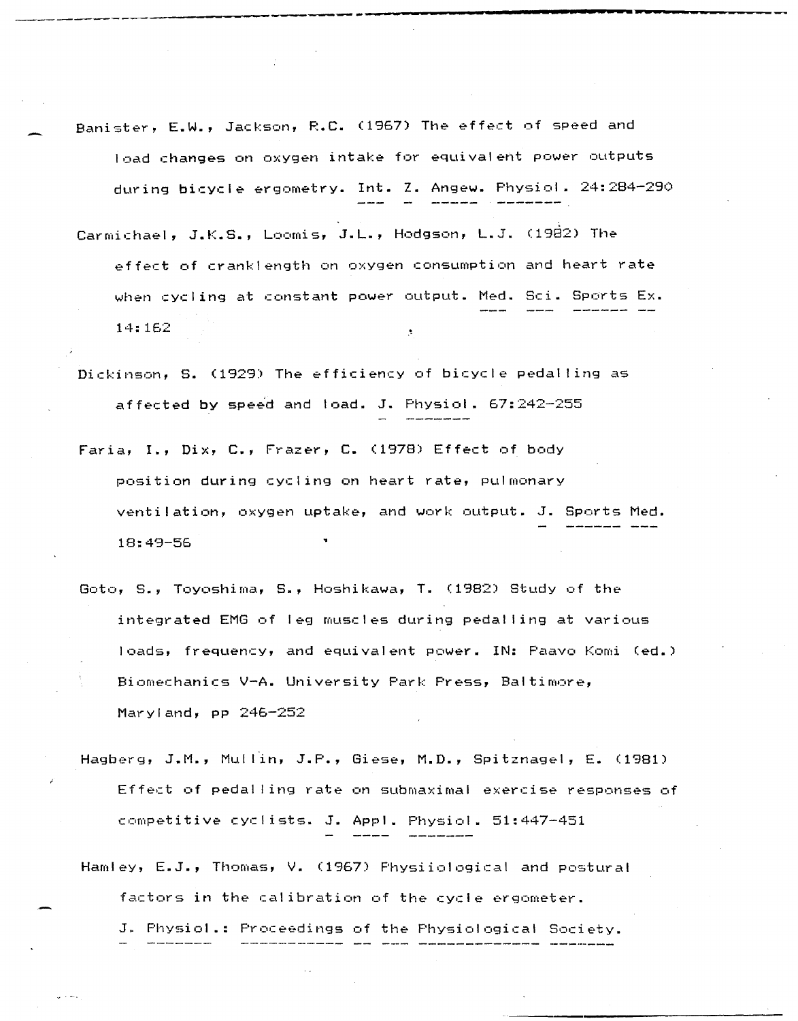Banister, E.W., Jackson, R.C. (1967) The effect of speed and load changes on oxygen intake for equivaleht power outputs during bicycle ergometry. Int. Z. Angew. Physiol. 24:284-290

--------

- Carmichael, J.K.S., Loomis, J.L., Hodgson, L.J. (1982) The effect of cranklength on oxygen consumption and heart rate when cycling at constant power output. Med. Sci. Sports Ex. 14:162
- Dickinson, S. (1929) The efficiency of bicycle pedalling as affected by speed and load. J. Physiol.  $67:242-255$
- Faria, I., Dix, C., Frazer, C. (1978) Effect of body position during cycling on heart rate, pulmonary ventilation, oxygen uptake, and work output. J. Sports Med. 18:49-56
- Goto, 5., Toyoshima, S., Hoshikawa, T. (1982) Study of the integrated EMG of leg muscles during pedal ling at various loads, frequency, and equivalent power. IN: Paavo Komi Ced.) Biomechanics V-A. University Park Press, Baltimore, Maryland, pp 246-252
- Hagberg, J.M., Mullin, J.P., Giese, M.D., Spitznagel, E. (1981) Effect of pedal ling rate on submaximal exercise responses of competitive cyclists. J. Appl. Physiol. 51:447-451
- Hamley, E.J., Thomas, V. (1967) Physiiological and postural factors in the calibration of the cycle ergometer.

J. Physiol.: Proceedings of the Physiological Society.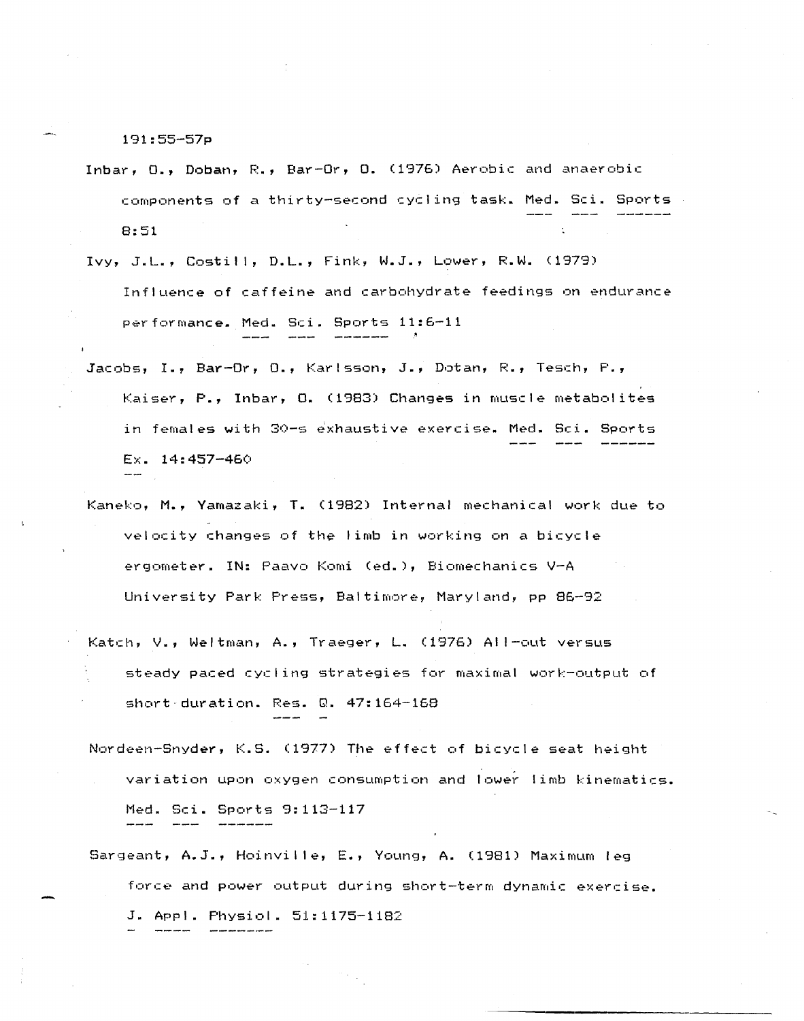191:55-57p

- Inbar,  $0.$ , Doban, R., Bar-Or,  $0.$  (1976) Aerobic and anaerobic components of a thirty-second cycling task. Med. Sci. Sports 8:51
- Ivy, J.L., Costill, D.L., Fink, W.J., Lower, R.W. (1979) Influence of caffeine and carbohydrate feedings on endurance performance. Med. Sci. Sports 11:5-11
- Jacobs, I., Bar-Or, 0., Karlsson, J., Dotan, R., Tesch, P., Kaiser, P., Inbar, O. (1983) Changes in muscle metabolites in females with 30-s exhaustive exercise. Med. Sci. Sports Ex. 14: 457-46()
- Kaneko, M., Yamazaki, T. (1982) Internal mechanical work due to velocity changes of the limb in working on a bicycle ergometer. IN: Paavo Komi (ed.), Biomechanics V-A University Park Press, Baltimore, Maryland, pp 85-92
- Katch, V., Weltman, A., Traeger, L. (1976) AI I-out versus steady paced cycling strategies for maximal work-output of short-duration. Res. Q. 47:154-168
- Nordeen-Snyder, K.S. (1977) The effect of bicycle seat height variation upon oxygen consumption and lower limb kinematics. Med. Sci. Sports 9:113-117
- Sargeant, A.J., Hoinvil Ie, E., Young, A. (1981) Maximum leg force and power output during short-term dynamic exercise. J. Appl. Physiol. 51:1175-1182